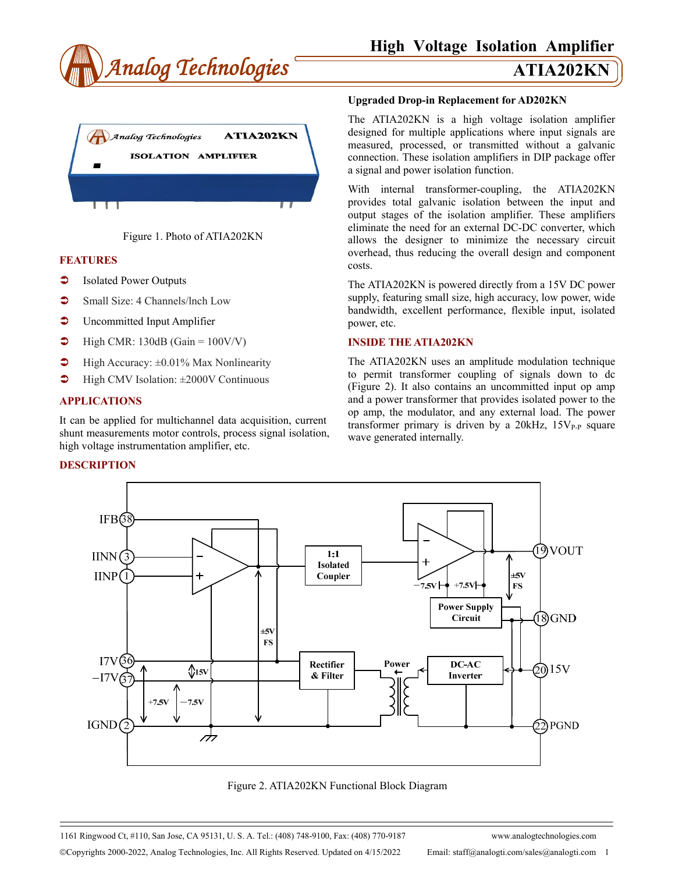





## **FEATURES**

- Isolated Power Outputs
- Small Size: 4 Channels/Inch Low
- **C** Uncommitted Input Amplifier
- $\blacktriangleright$  High CMR: 130dB (Gain = 100V/V)
- $\blacktriangleright$  High Accuracy:  $\pm 0.01\%$  Max Nonlinearity
- $\blacktriangleright$  High CMV Isolation:  $\pm 2000$ V Continuous

## **APPLICATIONS**

It can be applied for multichannel data acquisition, current shunt measurements motor controls, process signal isolation, high voltage instrumentation amplifier, etc.

### **DESCRIPTION**

### **Upgraded Drop-in Replacement for AD202KN**

The ATIA202KN is a high voltage isolation amplifier designed for multiple applications where input signals are measured, processed, or transmitted without a galvanic connection. These isolation amplifiers in DIP package offer a signal and power isolation function.

With internal transformer-coupling, the ATIA202KN provides total galvanic isolation between the input and output stages of the isolation amplifier. These amplifiers eliminate the need for an external DC-DC converter, which allows the designer to minimize the necessary circuit overhead, thus reducing the overall design and component costs.

The ATIA202KN is powered directly from a 15V DC power supply, featuring small size, high accuracy, low power, wide bandwidth, excellent performance, flexible input, isolated power, etc.

## **INSIDE THE ATIA202KN**

The ATIA202KN uses an amplitude modulation technique to permit transformer coupling of signals down to dc (Figure 2). It also contains an uncommitted input op amp and a power transformer that provides isolated power to the op amp, the modulator, and any external load. The power transformer primary is driven by a  $20kHz$ ,  $15V_{P-P}$  square wave generated internally.



Figure 2. ATIA202KN Functional Block Diagram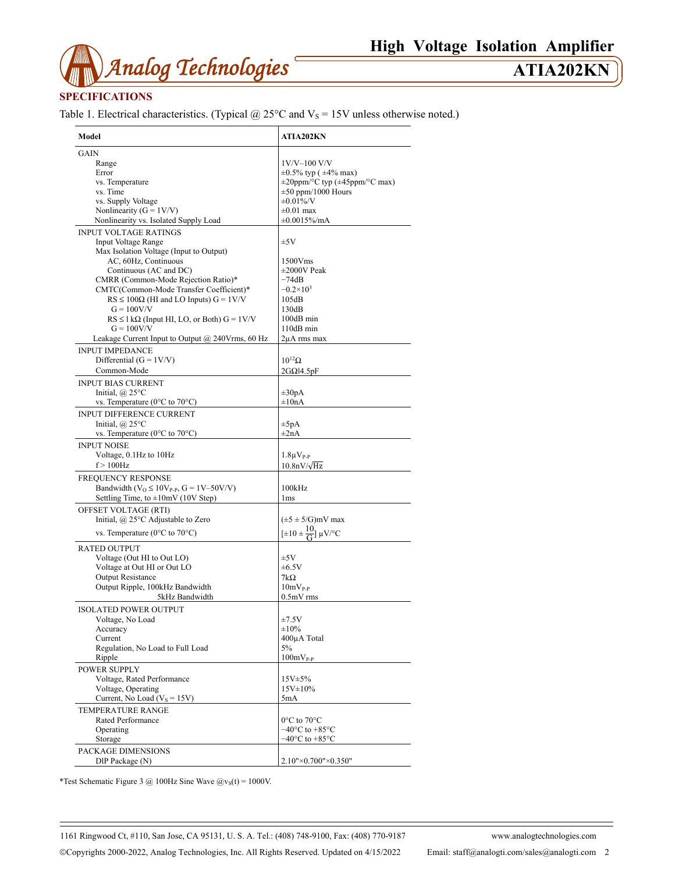

# **SPECIFICATIONS**

Table 1. Electrical characteristics. (Typical  $@$  25°C and  $V_s$  = 15V unless otherwise noted.)

| Model                                                                | ATIA202KN                                                      |
|----------------------------------------------------------------------|----------------------------------------------------------------|
| GAIN                                                                 |                                                                |
| Range                                                                | $1V/V-100 V/V$                                                 |
| Error                                                                | $\pm 0.5\%$ typ ( $\pm 4\%$ max)                               |
| vs. Temperature                                                      | $\pm 20$ ppm/°C typ ( $\pm 45$ ppm/°C max)                     |
|                                                                      |                                                                |
| vs. Time                                                             | $\pm 50$ ppm/1000 Hours                                        |
| vs. Supply Voltage                                                   | $\pm 0.01\%$ /V                                                |
| Nonlinearity ( $G = 1 V/V$ )                                         | $\pm 0.01$ max                                                 |
| Nonlinearity vs. Isolated Supply Load                                | ±0.0015%/mA                                                    |
| <b>INPUT VOLTAGE RATINGS</b>                                         |                                                                |
| <b>Input Voltage Range</b>                                           | ±5V                                                            |
| Max Isolation Voltage (Input to Output)                              |                                                                |
| AC, 60Hz, Continuous                                                 | 1500Vms                                                        |
| Continuous (AC and DC)                                               | $\pm 2000V$ Peak                                               |
| CMRR (Common-Mode Rejection Ratio)*                                  | $-74dB$                                                        |
| CMTC(Common-Mode Transfer Coefficient)*                              | $-0.2\times10^{3}$                                             |
|                                                                      |                                                                |
| $RS \le 100\Omega$ (HI and LO Inputs) $G = 1 \text{V/V}$             | 105dB                                                          |
| $G = 100V/V$                                                         | 130dB                                                          |
| $RS \leq 1 k\Omega$ (Input HI, LO, or Both) $G = 1 V/V$              | 100dB min                                                      |
| $G = 100V/V$                                                         | 110dB min                                                      |
| Leakage Current Input to Output $@$ 240Vrms, 60 Hz                   | 2μA rms max                                                    |
| <b>INPUT IMPEDANCE</b>                                               |                                                                |
| Differential $(G = 1V/V)$                                            | $10^{12}$ $\Omega$                                             |
| Common-Mode                                                          | $2G\Omega$ <sup>14</sup> .5pF                                  |
|                                                                      |                                                                |
| <b>INPUT BIAS CURRENT</b>                                            |                                                                |
| Initial, $\omega$ 25°C                                               | $\pm 30pA$                                                     |
| vs. Temperature ( $0^{\circ}$ C to $70^{\circ}$ C)                   | $\pm 10nA$                                                     |
| <b>INPUT DIFFERENCE CURRENT</b>                                      |                                                                |
| Initial, $\omega$ 25°C                                               | $\pm 5pA$                                                      |
| vs. Temperature ( $0^{\circ}$ C to $70^{\circ}$ C)                   | $\pm 2nA$                                                      |
|                                                                      |                                                                |
| <b>INPUT NOISE</b>                                                   |                                                                |
| Voltage, 0.1Hz to 10Hz                                               | $1.8\mu V_{P-P}$                                               |
| $f > 100$ Hz                                                         | $10.8nV/\sqrt{Hz}$                                             |
| FREQUENCY RESPONSE                                                   |                                                                |
| Bandwidth ( $V$ <sub>O</sub> ≤ 10 $V$ <sub>P-P</sub> , G = 1V–50V/V) | 100kHz                                                         |
|                                                                      |                                                                |
| Settling Time, to $\pm 10$ mV (10V Step)                             | 1 <sub>ms</sub>                                                |
| OFFSET VOLTAGE (RTI)                                                 |                                                                |
| Initial, @ 25°C Adjustable to Zero                                   | $(\pm 5 \pm 5/\text{G})$ mV max                                |
| vs. Temperature ( $0^{\circ}$ C to $70^{\circ}$ C)                   | $[\pm 10 \pm \frac{10}{\text{G}}] \mu\text{V}^{\circ}\text{C}$ |
|                                                                      |                                                                |
| <b>RATED OUTPUT</b>                                                  |                                                                |
| Voltage (Out HI to Out LO)                                           | ±5V                                                            |
| Voltage at Out HI or Out LO                                          | $\pm 6.5V$                                                     |
| <b>Output Resistance</b>                                             | $7k\Omega$                                                     |
|                                                                      |                                                                |
| Output Ripple, 100kHz Bandwidth                                      | $10mV_{P-P}$                                                   |
| 5kHz Bandwidth                                                       | $0.5mV$ rms                                                    |
| <b>ISOLATED POWER OUTPUT</b>                                         |                                                                |
| Voltage, No Load                                                     | ±7.5V                                                          |
| Accuracy                                                             | ±10%                                                           |
| Current                                                              | 400µA Total                                                    |
|                                                                      | 5%                                                             |
| Regulation, No Load to Full Load                                     |                                                                |
| Ripple                                                               | $100mV_{P-P}$                                                  |
| <b>POWER SUPPLY</b>                                                  |                                                                |
| Voltage, Rated Performance                                           | 15V±5%                                                         |
| Voltage, Operating                                                   | $15V \pm 10\%$                                                 |
| Current, No Load ( $V_s = 15V$ )                                     | 5mA                                                            |
|                                                                      |                                                                |
| TEMPERATURE RANGE                                                    |                                                                |
| <b>Rated Performance</b>                                             | 0°C to 70°C                                                    |
| Operating                                                            | $-40^{\circ}$ C to $+85^{\circ}$ C                             |
| Storage                                                              | $-40^{\circ}$ C to $+85^{\circ}$ C                             |
| PACKAGE DIMENSIONS                                                   |                                                                |
| DIP Package (N)                                                      | 2.10"×0.700"×0.350"                                            |
|                                                                      |                                                                |

\*Test Schematic Figure 3 @ 100Hz Sine Wave  $\omega_{\text{vs}}(t) = 1000 \text{V}$ .

1161 Ringwood Ct, #110, San Jose, CA 95131, U. S. A. Tel.: (408) 748-9100, Fax: (408) 770-9187 www.analogtechnologies.com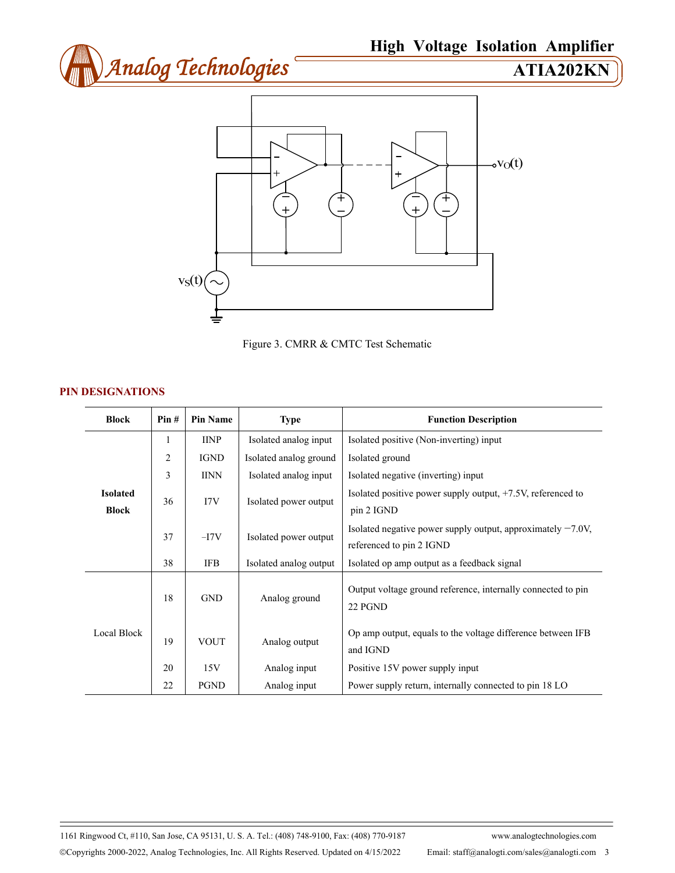



Figure 3. CMRR & CMTC Test Schematic

# **PIN DESIGNATIONS**

| <b>Block</b>                    | Pin#           | <b>Pin Name</b> | <b>Type</b>            | <b>Function Description</b>                                                                |
|---------------------------------|----------------|-----------------|------------------------|--------------------------------------------------------------------------------------------|
| <b>Isolated</b><br><b>Block</b> | 1              | <b>IINP</b>     | Isolated analog input  | Isolated positive (Non-inverting) input                                                    |
|                                 | $\overline{2}$ | <b>IGND</b>     | Isolated analog ground | Isolated ground                                                                            |
|                                 | 3              | <b>IINN</b>     | Isolated analog input  | Isolated negative (inverting) input                                                        |
|                                 | 36             | 17V             | Isolated power output  | Isolated positive power supply output, +7.5V, referenced to<br>pin 2 IGND                  |
|                                 | 37             | $-I7V$          | Isolated power output  | Isolated negative power supply output, approximately $-7.0V$ ,<br>referenced to pin 2 IGND |
|                                 | 38             | IFB             | Isolated analog output | Isolated op amp output as a feedback signal                                                |
| Local Block                     | 18             | <b>GND</b>      | Analog ground          | Output voltage ground reference, internally connected to pin<br>22 PGND                    |
|                                 | 19             | <b>VOUT</b>     | Analog output          | Op amp output, equals to the voltage difference between IFB<br>and IGND                    |
|                                 | 20             | 15V             | Analog input           | Positive 15V power supply input                                                            |
|                                 | 22             | <b>PGND</b>     | Analog input           | Power supply return, internally connected to pin 18 LO                                     |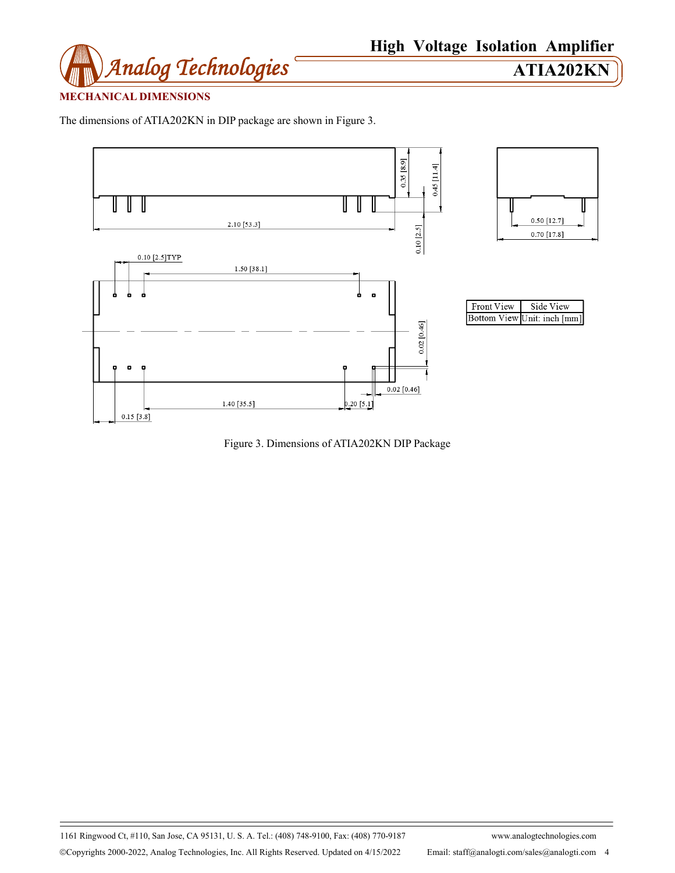

# **MECHANICAL DIMENSIONS**

The dimensions of ATIA202KN in DIP package are shown in Figure 3.



Figure 3. Dimensions of ATIA202KN DIP Package